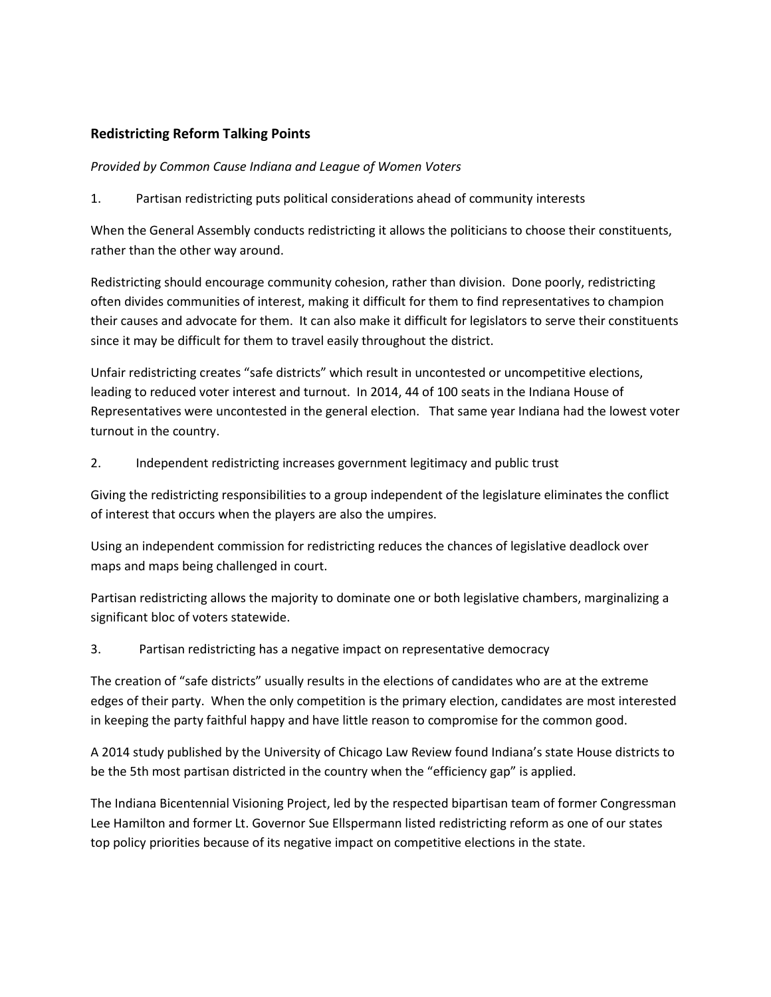# **Redistricting Reform Talking Points**

*Provided by Common Cause Indiana and League of Women Voters*

1. Partisan redistricting puts political considerations ahead of community interests

When the General Assembly conducts redistricting it allows the politicians to choose their constituents, rather than the other way around.

Redistricting should encourage community cohesion, rather than division. Done poorly, redistricting often divides communities of interest, making it difficult for them to find representatives to champion their causes and advocate for them. It can also make it difficult for legislators to serve their constituents since it may be difficult for them to travel easily throughout the district.

Unfair redistricting creates "safe districts" which result in uncontested or uncompetitive elections, leading to reduced voter interest and turnout. In 2014, 44 of 100 seats in the Indiana House of Representatives were uncontested in the general election. That same year Indiana had the lowest voter turnout in the country.

## 2. Independent redistricting increases government legitimacy and public trust

Giving the redistricting responsibilities to a group independent of the legislature eliminates the conflict of interest that occurs when the players are also the umpires.

Using an independent commission for redistricting reduces the chances of legislative deadlock over maps and maps being challenged in court.

Partisan redistricting allows the majority to dominate one or both legislative chambers, marginalizing a significant bloc of voters statewide.

## 3. Partisan redistricting has a negative impact on representative democracy

The creation of "safe districts" usually results in the elections of candidates who are at the extreme edges of their party. When the only competition is the primary election, candidates are most interested in keeping the party faithful happy and have little reason to compromise for the common good.

A 2014 study published by the University of Chicago Law Review found Indiana's state House districts to be the 5th most partisan districted in the country when the "efficiency gap" is applied.

The Indiana Bicentennial Visioning Project, led by the respected bipartisan team of former Congressman Lee Hamilton and former Lt. Governor Sue Ellspermann listed redistricting reform as one of our states top policy priorities because of its negative impact on competitive elections in the state.